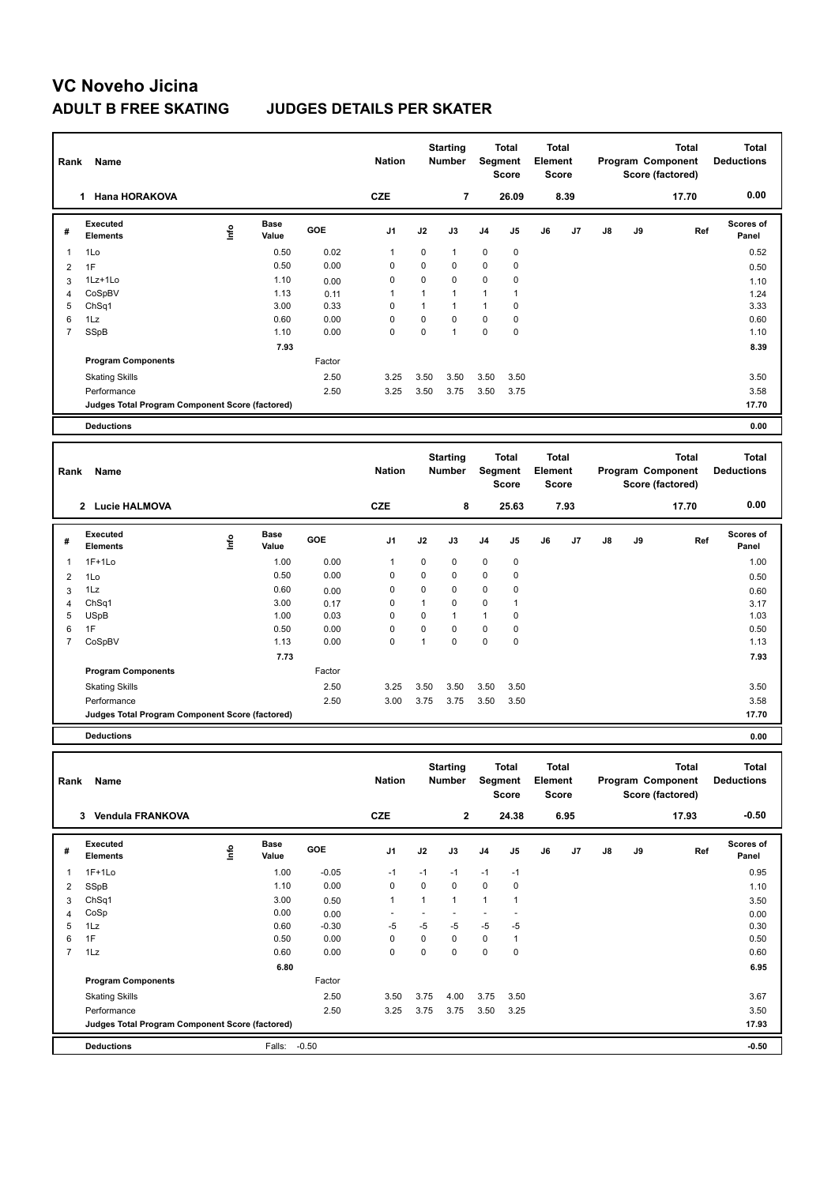# **VC Noveho Jicina**

### **ADULT B FREE SKATING JUDGES DETAILS PER SKATER**

| Rank           | Name                                            |      |                      |        | <b>Nation</b>  |              | <b>Starting</b><br><b>Number</b> |                | <b>Total</b><br>Segment<br><b>Score</b> | <b>Total</b><br>Element<br><b>Score</b> |      |               |    | <b>Total</b><br>Program Component<br>Score (factored) | <b>Total</b><br><b>Deductions</b> |
|----------------|-------------------------------------------------|------|----------------------|--------|----------------|--------------|----------------------------------|----------------|-----------------------------------------|-----------------------------------------|------|---------------|----|-------------------------------------------------------|-----------------------------------|
|                | 1 Hana HORAKOVA                                 |      |                      |        | <b>CZE</b>     |              | $\overline{7}$                   |                | 26.09                                   |                                         | 8.39 |               |    | 17.70                                                 | 0.00                              |
| #              | Executed<br><b>Elements</b>                     | lnfo | <b>Base</b><br>Value | GOE    | J <sub>1</sub> | J2           | J3                               | J <sub>4</sub> | J5                                      | J6                                      | J7   | $\mathsf{J}8$ | J9 | Ref                                                   | Scores of<br>Panel                |
| $\overline{1}$ | 1Lo                                             |      | 0.50                 | 0.02   | $\mathbf{1}$   | $\mathbf 0$  | $\mathbf{1}$                     | $\mathbf 0$    | $\mathbf 0$                             |                                         |      |               |    |                                                       | 0.52                              |
| $\overline{2}$ | 1F                                              |      | 0.50                 | 0.00   | 0              | $\mathbf 0$  | 0                                | $\mathbf 0$    | $\mathbf 0$                             |                                         |      |               |    |                                                       | 0.50                              |
| 3              | 1Lz+1Lo                                         |      | 1.10                 | 0.00   | $\mathbf 0$    | $\mathbf 0$  | 0                                | 0              | 0                                       |                                         |      |               |    |                                                       | 1.10                              |
| $\overline{4}$ | CoSpBV                                          |      | 1.13                 | 0.11   | $\mathbf{1}$   | $\mathbf{1}$ | $\mathbf{1}$                     | $\mathbf{1}$   | $\mathbf{1}$                            |                                         |      |               |    |                                                       | 1.24                              |
| 5              | ChSq1                                           |      | 3.00                 | 0.33   | $\mathbf 0$    | $\mathbf{1}$ | $\mathbf{1}$                     | $\mathbf{1}$   | $\mathbf 0$                             |                                         |      |               |    |                                                       | 3.33                              |
| 6              | 1Lz                                             |      | 0.60                 | 0.00   | $\mathbf 0$    | $\mathbf 0$  | 0                                | $\mathsf 0$    | 0                                       |                                         |      |               |    |                                                       | 0.60                              |
| $\overline{7}$ | SSpB                                            |      | 1.10                 | 0.00   | $\Omega$       | $\mathbf 0$  | $\overline{1}$                   | $\mathbf 0$    | $\mathbf 0$                             |                                         |      |               |    |                                                       | 1.10                              |
|                |                                                 |      | 7.93                 |        |                |              |                                  |                |                                         |                                         |      |               |    |                                                       | 8.39                              |
|                | <b>Program Components</b>                       |      |                      | Factor |                |              |                                  |                |                                         |                                         |      |               |    |                                                       |                                   |
|                | <b>Skating Skills</b>                           |      |                      | 2.50   | 3.25           | 3.50         | 3.50                             | 3.50           | 3.50                                    |                                         |      |               |    |                                                       | 3.50                              |
|                | Performance                                     |      |                      | 2.50   | 3.25           | 3.50         | 3.75                             | 3.50           | 3.75                                    |                                         |      |               |    |                                                       | 3.58                              |
|                | Judges Total Program Component Score (factored) |      |                      |        |                |              |                                  |                |                                         |                                         |      |               |    |                                                       | 17.70                             |
|                | <b>Deductions</b>                               |      |                      |        |                |              |                                  |                |                                         |                                         |      |               |    |                                                       | 0.00                              |
|                |                                                 |      |                      |        |                |              |                                  |                |                                         |                                         |      |               |    |                                                       |                                   |
| Rank           | Name                                            |      |                      |        | <b>Nation</b>  |              | <b>Starting</b><br>Number        |                | <b>Total</b><br>Segment<br><b>Score</b> | <b>Total</b><br>Element<br><b>Score</b> |      |               |    | <b>Total</b><br>Program Component<br>Score (factored) | <b>Total</b><br><b>Deductions</b> |
|                | 2 Lucie HALMOVA                                 |      |                      |        | <b>CZE</b>     | 8            |                                  | 25.63          |                                         | 7.93                                    |      |               |    | 17.70                                                 | 0.00                              |
| #              | Executed<br><b>Elements</b>                     | lnfo | <b>Base</b><br>Value | GOE    | J1             | J2           | J3                               | J4             | J5                                      | J6                                      | J7   | J8            | J9 | Ref                                                   | <b>Scores of</b><br>Panel         |
| 1              | $1F+1Lo$                                        |      | 1.00                 | 0.00   | $\mathbf{1}$   | $\mathbf 0$  | $\mathbf 0$                      | $\mathbf 0$    | $\mathbf 0$                             |                                         |      |               |    |                                                       | 1.00                              |
| 2              | 1Lo                                             |      | 0.50                 | 0.00   | $\mathbf 0$    | $\mathbf 0$  | 0                                | $\mathbf 0$    | $\mathbf 0$                             |                                         |      |               |    |                                                       | 0.50                              |
| 3              | 1Lz                                             |      | 0.60                 | 0.00   | $\Omega$       | $\Omega$     | $\Omega$                         | $\Omega$       | $\mathbf 0$                             |                                         |      |               |    |                                                       | 0.60                              |
| $\overline{4}$ | Ch <sub>Sq1</sub>                               |      | 3.00                 | 0.17   | 0              | $\mathbf{1}$ | 0                                | $\mathbf 0$    | 1                                       |                                         |      |               |    |                                                       | 3.17                              |
| 5              | <b>USpB</b>                                     |      | 1.00                 | 0.03   | $\Omega$       | $\Omega$     | $\overline{1}$                   | $\mathbf{1}$   | $\mathbf 0$                             |                                         |      |               |    |                                                       | 1.03                              |
|                |                                                 |      |                      |        |                |              |                                  |                |                                         |                                         |      |               |    |                                                       |                                   |
| 6              | 1F                                              |      | 0.50                 | 0.00   | $\mathbf 0$    | $\mathbf 0$  | 0                                | $\mathbf 0$    | 0                                       |                                         |      |               |    |                                                       | 0.50                              |
| $\overline{7}$ | CoSpBV                                          |      | 1.13                 | 0.00   | $\Omega$       | $\mathbf{1}$ | $\Omega$                         | $\Omega$       | $\Omega$                                |                                         |      |               |    |                                                       | 1.13                              |
|                |                                                 |      | 7.73                 |        |                |              |                                  |                |                                         |                                         |      |               |    |                                                       | 7.93                              |
|                | <b>Program Components</b>                       |      |                      | Factor |                |              |                                  |                |                                         |                                         |      |               |    |                                                       |                                   |
|                | <b>Skating Skills</b>                           |      |                      | 2.50   | 3.25           | 3.50         | 3.50                             | 3.50           | 3.50                                    |                                         |      |               |    |                                                       | 3.50                              |
|                | Performance                                     |      |                      | 2.50   | 3.00           | 3.75         | 3.75                             | 3.50           | 3.50                                    |                                         |      |               |    |                                                       | 3.58                              |

**Deductions 0.00**

| Name<br>Rank   |                                                 |      |                      | <b>Nation</b> |                | <b>Starting</b><br><b>Number</b> |              | <b>Total</b><br>Segment<br><b>Score</b> | <b>Total</b><br>Element<br><b>Score</b> |    | <b>Total</b><br>Program Component<br>Score (factored) |               |    | <b>Total</b><br><b>Deductions</b> |                    |
|----------------|-------------------------------------------------|------|----------------------|---------------|----------------|----------------------------------|--------------|-----------------------------------------|-----------------------------------------|----|-------------------------------------------------------|---------------|----|-----------------------------------|--------------------|
|                | <b>Vendula FRANKOVA</b><br>3                    |      |                      |               | <b>CZE</b>     |                                  | $\mathbf{2}$ |                                         | 24.38                                   |    | 6.95                                                  |               |    | 17.93                             | $-0.50$            |
| #              | Executed<br><b>Elements</b>                     | Info | <b>Base</b><br>Value | GOE           | J <sub>1</sub> | J2                               | J3           | J <sub>4</sub>                          | J <sub>5</sub>                          | J6 | J7                                                    | $\mathsf{J}8$ | J9 | Ref                               | Scores of<br>Panel |
| $\mathbf{1}$   | $1F+1Lo$                                        |      | 1.00                 | $-0.05$       | $-1$           | $-1$                             | $-1$         | $-1$                                    | $-1$                                    |    |                                                       |               |    |                                   | 0.95               |
| 2              | SSpB                                            |      | 1.10                 | 0.00          | 0              | 0                                | $\mathbf 0$  | $\mathbf 0$                             | 0                                       |    |                                                       |               |    |                                   | 1.10               |
| 3              | ChSq1                                           |      | 3.00                 | 0.50          | 1              | $\overline{1}$                   | $\mathbf{1}$ | 1                                       | 1                                       |    |                                                       |               |    |                                   | 3.50               |
| $\overline{4}$ | CoSp                                            |      | 0.00                 | 0.00          |                |                                  |              |                                         |                                         |    |                                                       |               |    |                                   | 0.00               |
| 5              | 1Lz                                             |      | 0.60                 | $-0.30$       | $-5$           | $-5$                             | $-5$         | $-5$                                    | $-5$                                    |    |                                                       |               |    |                                   | 0.30               |
| 6              | 1F                                              |      | 0.50                 | 0.00          | 0              | 0                                | 0            | 0                                       | 1                                       |    |                                                       |               |    |                                   | 0.50               |
| $\overline{7}$ | 1Lz                                             |      | 0.60                 | 0.00          | 0              | 0                                | $\mathbf 0$  | 0                                       | 0                                       |    |                                                       |               |    |                                   | 0.60               |
|                |                                                 |      | 6.80                 |               |                |                                  |              |                                         |                                         |    |                                                       |               |    |                                   | 6.95               |
|                | <b>Program Components</b>                       |      |                      | Factor        |                |                                  |              |                                         |                                         |    |                                                       |               |    |                                   |                    |
|                | <b>Skating Skills</b>                           |      |                      | 2.50          | 3.50           | 3.75                             | 4.00         | 3.75                                    | 3.50                                    |    |                                                       |               |    |                                   | 3.67               |
|                | Performance                                     |      |                      | 2.50          | 3.25           | 3.75                             | 3.75         | 3.50                                    | 3.25                                    |    |                                                       |               |    |                                   | 3.50               |
|                | Judges Total Program Component Score (factored) |      |                      |               |                |                                  |              |                                         |                                         |    |                                                       |               |    |                                   | 17.93              |
|                | <b>Deductions</b>                               |      | Falls:               | $-0.50$       |                |                                  |              |                                         |                                         |    |                                                       |               |    |                                   | $-0.50$            |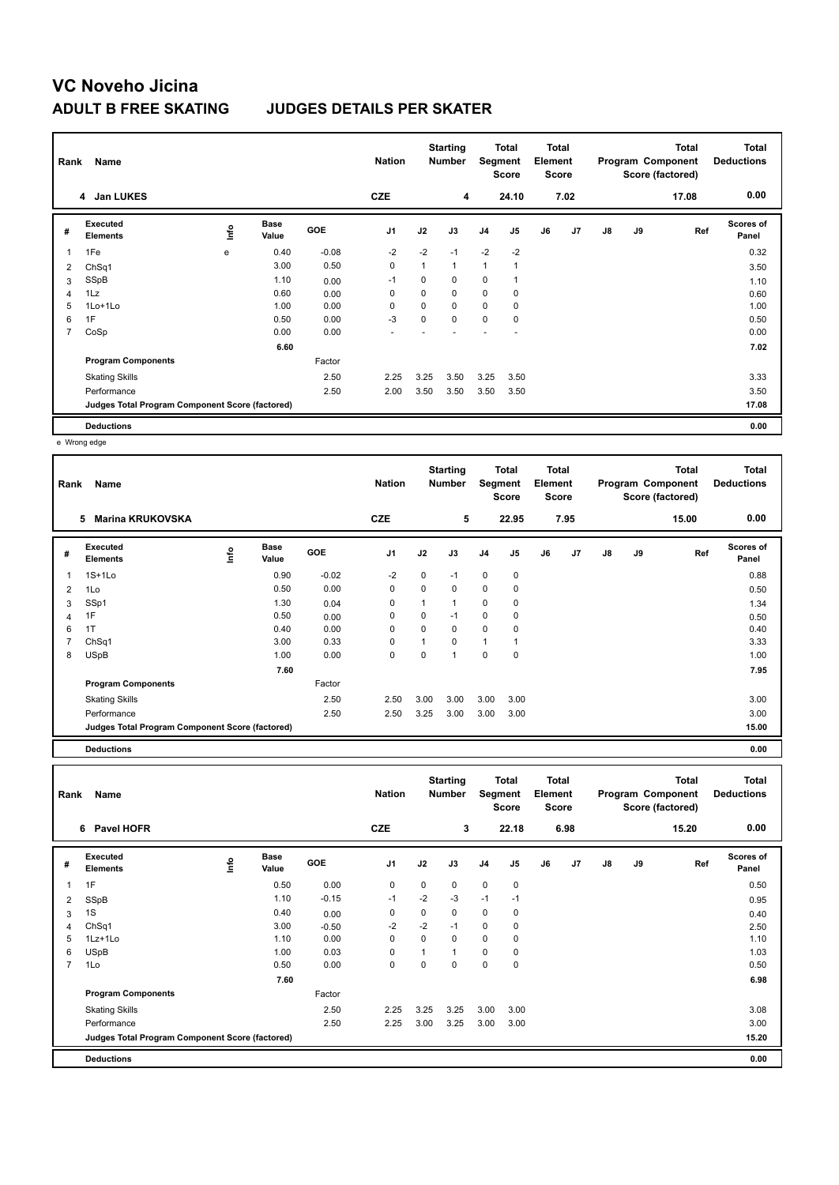# **VC Noveho Jicina**

### **ADULT B FREE SKATING JUDGES DETAILS PER SKATER**

| Rank           | Name                                            |      |                      |            | <b>Nation</b>  |             | <b>Starting</b><br>Number | Segment        | Total<br>Score | <b>Total</b><br>Element<br><b>Score</b> |      |               |    | <b>Total</b><br>Program Component<br>Score (factored) | Total<br><b>Deductions</b> |
|----------------|-------------------------------------------------|------|----------------------|------------|----------------|-------------|---------------------------|----------------|----------------|-----------------------------------------|------|---------------|----|-------------------------------------------------------|----------------------------|
|                | 4 Jan LUKES                                     |      |                      |            | <b>CZE</b>     |             | 4                         |                | 24.10          |                                         | 7.02 |               |    | 17.08                                                 | 0.00                       |
| #              | Executed<br><b>Elements</b>                     | lnfo | <b>Base</b><br>Value | <b>GOE</b> | J <sub>1</sub> | J2          | J3                        | J <sub>4</sub> | J <sub>5</sub> | J6                                      | J7   | $\mathsf{J}8$ | J9 | Ref                                                   | <b>Scores of</b><br>Panel  |
| $\overline{1}$ | 1Fe                                             | e    | 0.40                 | $-0.08$    | $-2$           | $-2$        | $-1$                      | $-2$           | $-2$           |                                         |      |               |    |                                                       | 0.32                       |
| 2              | ChSq1                                           |      | 3.00                 | 0.50       | $\mathbf 0$    | 1           | $\mathbf{1}$              | 1              |                |                                         |      |               |    |                                                       | 3.50                       |
| 3              | SSpB                                            |      | 1.10                 | 0.00       | $-1$           | 0           | 0                         | 0              |                |                                         |      |               |    |                                                       | 1.10                       |
| $\overline{4}$ | 1Lz                                             |      | 0.60                 | 0.00       | 0              | 0           | 0                         | $\mathbf 0$    | 0              |                                         |      |               |    |                                                       | 0.60                       |
| 5              | 1Lo+1Lo                                         |      | 1.00                 | 0.00       | 0              | $\mathbf 0$ | 0                         | $\mathbf 0$    | 0              |                                         |      |               |    |                                                       | 1.00                       |
| 6              | 1F                                              |      | 0.50                 | 0.00       | $-3$           | 0           | $\Omega$                  | 0              | 0              |                                         |      |               |    |                                                       | 0.50                       |
| 7              | CoSp                                            |      | 0.00                 | 0.00       |                |             |                           |                |                |                                         |      |               |    |                                                       | 0.00                       |
|                |                                                 |      | 6.60                 |            |                |             |                           |                |                |                                         |      |               |    |                                                       | 7.02                       |
|                | <b>Program Components</b>                       |      |                      | Factor     |                |             |                           |                |                |                                         |      |               |    |                                                       |                            |
|                | <b>Skating Skills</b>                           |      |                      | 2.50       | 2.25           | 3.25        | 3.50                      | 3.25           | 3.50           |                                         |      |               |    |                                                       | 3.33                       |
|                | Performance                                     |      |                      | 2.50       | 2.00           | 3.50        | 3.50                      | 3.50           | 3.50           |                                         |      |               |    |                                                       | 3.50                       |
|                | Judges Total Program Component Score (factored) |      |                      |            |                |             |                           |                |                |                                         |      |               |    |                                                       | 17.08                      |
|                | <b>Deductions</b>                               |      |                      |            |                |             |                           |                |                |                                         |      |               |    |                                                       | 0.00                       |

e Wrong edge

| Rank | Name                                            |   |                      |         | <b>Nation</b>  |             | <b>Starting</b><br><b>Number</b> | Segment        | <b>Total</b><br>Score | <b>Total</b><br>Element<br><b>Score</b> |                |    |    | <b>Total</b><br>Program Component<br>Score (factored) | <b>Total</b><br><b>Deductions</b> |
|------|-------------------------------------------------|---|----------------------|---------|----------------|-------------|----------------------------------|----------------|-----------------------|-----------------------------------------|----------------|----|----|-------------------------------------------------------|-----------------------------------|
|      | <b>Marina KRUKOVSKA</b><br>5                    |   |                      |         | <b>CZE</b>     |             | 5                                |                | 22.95                 |                                         | 7.95           |    |    | 15.00                                                 | 0.00                              |
| #    | Executed<br><b>Elements</b>                     | 울 | <b>Base</b><br>Value | GOE     | J <sub>1</sub> | J2          | J3                               | J <sub>4</sub> | J5                    | J6                                      | J <sub>7</sub> | J8 | J9 | Ref                                                   | <b>Scores of</b><br>Panel         |
|      | $1S+1Lo$                                        |   | 0.90                 | $-0.02$ | $-2$           | $\mathbf 0$ | $-1$                             | $\mathbf 0$    | $\mathbf 0$           |                                         |                |    |    |                                                       | 0.88                              |
| 2    | 1Lo                                             |   | 0.50                 | 0.00    | $\Omega$       | $\Omega$    | 0                                | $\mathbf 0$    | 0                     |                                         |                |    |    |                                                       | 0.50                              |
| 3    | SSp1                                            |   | 1.30                 | 0.04    | 0              |             | 1                                | 0              | 0                     |                                         |                |    |    |                                                       | 1.34                              |
| 4    | 1F                                              |   | 0.50                 | 0.00    | 0              | 0           | $-1$                             | 0              | 0                     |                                         |                |    |    |                                                       | 0.50                              |
| 6    | 1T                                              |   | 0.40                 | 0.00    | $\Omega$       | $\Omega$    | $\mathbf 0$                      | $\mathbf 0$    | $\mathbf 0$           |                                         |                |    |    |                                                       | 0.40                              |
|      | ChSq1                                           |   | 3.00                 | 0.33    | 0              | 1           | 0                                | $\overline{1}$ |                       |                                         |                |    |    |                                                       | 3.33                              |
| 8    | <b>USpB</b>                                     |   | 1.00                 | 0.00    | 0              | 0           | 1                                | $\pmb{0}$      | $\mathbf 0$           |                                         |                |    |    |                                                       | 1.00                              |
|      |                                                 |   | 7.60                 |         |                |             |                                  |                |                       |                                         |                |    |    |                                                       | 7.95                              |
|      | <b>Program Components</b>                       |   |                      | Factor  |                |             |                                  |                |                       |                                         |                |    |    |                                                       |                                   |
|      | <b>Skating Skills</b>                           |   |                      | 2.50    | 2.50           | 3.00        | 3.00                             | 3.00           | 3.00                  |                                         |                |    |    |                                                       | 3.00                              |
|      | Performance                                     |   |                      | 2.50    | 2.50           | 3.25        | 3.00                             | 3.00           | 3.00                  |                                         |                |    |    |                                                       | 3.00                              |
|      | Judges Total Program Component Score (factored) |   |                      |         |                |             |                                  |                |                       |                                         |                |    |    |                                                       | 15.00                             |
|      | <b>Deductions</b>                               |   |                      |         |                |             |                                  |                |                       |                                         |                |    |    |                                                       | 0.00                              |

| Rank           | Name                                            |      |                      | <b>Nation</b> |                | <b>Starting</b><br><b>Number</b> | <b>Total</b><br>Segment<br><b>Score</b> |                | <b>Total</b><br>Element<br><b>Score</b> |    | <b>Total</b><br>Program Component<br>Score (factored) |               |    | <b>Total</b><br><b>Deductions</b> |                           |
|----------------|-------------------------------------------------|------|----------------------|---------------|----------------|----------------------------------|-----------------------------------------|----------------|-----------------------------------------|----|-------------------------------------------------------|---------------|----|-----------------------------------|---------------------------|
|                | 6 Pavel HOFR                                    |      |                      |               | <b>CZE</b>     |                                  | 3                                       |                | 22.18                                   |    | 6.98                                                  |               |    | 15.20                             | 0.00                      |
| #              | Executed<br><b>Elements</b>                     | Info | <b>Base</b><br>Value | GOE           | J <sub>1</sub> | J2                               | J3                                      | J <sub>4</sub> | J5                                      | J6 | J7                                                    | $\mathsf{J}8$ | J9 | Ref                               | <b>Scores of</b><br>Panel |
| 1              | 1F                                              |      | 0.50                 | 0.00          | 0              | 0                                | 0                                       | $\mathbf 0$    | 0                                       |    |                                                       |               |    |                                   | 0.50                      |
| 2              | SSpB                                            |      | 1.10                 | $-0.15$       | $-1$           | $-2$                             | $-3$                                    | $-1$           | $-1$                                    |    |                                                       |               |    |                                   | 0.95                      |
| 3              | 1S                                              |      | 0.40                 | 0.00          | 0              | 0                                | $\mathbf 0$                             | 0              | 0                                       |    |                                                       |               |    |                                   | 0.40                      |
| 4              | ChSq1                                           |      | 3.00                 | $-0.50$       | $-2$           | $-2$                             | $-1$                                    | 0              | 0                                       |    |                                                       |               |    |                                   | 2.50                      |
| 5              | 1Lz+1Lo                                         |      | 1.10                 | 0.00          | 0              | 0                                | 0                                       | $\mathbf 0$    | 0                                       |    |                                                       |               |    |                                   | 1.10                      |
| 6              | <b>USpB</b>                                     |      | 1.00                 | 0.03          | 0              | 1                                | $\mathbf{1}$                            | 0              | 0                                       |    |                                                       |               |    |                                   | 1.03                      |
| $\overline{7}$ | 1Lo                                             |      | 0.50                 | 0.00          | 0              | 0                                | $\mathbf 0$                             | $\mathbf 0$    | 0                                       |    |                                                       |               |    |                                   | 0.50                      |
|                |                                                 |      | 7.60                 |               |                |                                  |                                         |                |                                         |    |                                                       |               |    |                                   | 6.98                      |
|                | <b>Program Components</b>                       |      |                      | Factor        |                |                                  |                                         |                |                                         |    |                                                       |               |    |                                   |                           |
|                | <b>Skating Skills</b>                           |      |                      | 2.50          | 2.25           | 3.25                             | 3.25                                    | 3.00           | 3.00                                    |    |                                                       |               |    |                                   | 3.08                      |
|                | Performance                                     |      |                      | 2.50          | 2.25           | 3.00                             | 3.25                                    | 3.00           | 3.00                                    |    |                                                       |               |    |                                   | 3.00                      |
|                | Judges Total Program Component Score (factored) |      |                      |               |                |                                  |                                         |                |                                         |    |                                                       |               |    |                                   | 15.20                     |
|                | <b>Deductions</b>                               |      |                      |               |                |                                  |                                         |                |                                         |    |                                                       |               |    |                                   | 0.00                      |